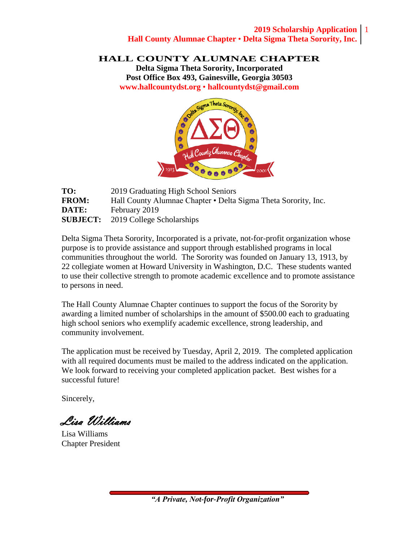#### **2019 Scholarship Application** 1 **Hall County Alumnae Chapter • Delta Sigma Theta Sorority, Inc.**

**HALL COUNTY ALUMNAE CHAPTER**

**Delta Sigma Theta Sorority, Incorporated Post Office Box 493, Gainesville, Georgia 30503 [www.hallcountydst.org](http://www.hallcountydst.org/) • hallcountydst@gmail.com**



| TO:          | 2019 Graduating High School Seniors                            |
|--------------|----------------------------------------------------------------|
| <b>FROM:</b> | Hall County Alumnae Chapter • Delta Sigma Theta Sorority, Inc. |
| DATE:        | February 2019                                                  |
|              | <b>SUBJECT:</b> 2019 College Scholarships                      |

Delta Sigma Theta Sorority, Incorporated is a private, not-for-profit organization whose purpose is to provide assistance and support through established programs in local communities throughout the world. The Sorority was founded on January 13, 1913, by 22 collegiate women at Howard University in Washington, D.C. These students wanted to use their collective strength to promote academic excellence and to promote assistance to persons in need.

The Hall County Alumnae Chapter continues to support the focus of the Sorority by awarding a limited number of scholarships in the amount of \$500.00 each to graduating high school seniors who exemplify academic excellence, strong leadership, and community involvement.

The application must be received by Tuesday, April 2, 2019. The completed application with all required documents must be mailed to the address indicated on the application. We look forward to receiving your completed application packet. Best wishes for a successful future!

Sincerely,

Lisa Williams

Lisa Williams Chapter President

"A Private, Not-for-Profit Organization"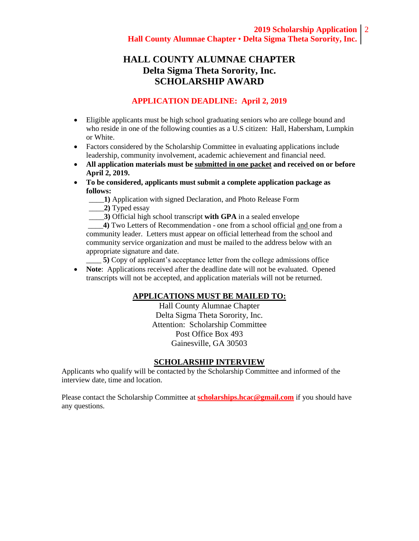# **HALL COUNTY ALUMNAE CHAPTER Delta Sigma Theta Sorority, Inc. SCHOLARSHIP AWARD**

#### **APPLICATION DEADLINE: April 2, 2019**

- Eligible applicants must be high school graduating seniors who are college bound and who reside in one of the following counties as a U.S citizen: Hall, Habersham, Lumpkin or White.
- Factors considered by the Scholarship Committee in evaluating applications include leadership, community involvement, academic achievement and financial need.
- **All application materials must be submitted in one packet and received on or before April 2, 2019.**
- **To be considered, applicants must submit a complete application package as follows:**
	- \_\_\_\_**1)** Application with signed Declaration, and Photo Release Form
	- \_\_\_\_**2)** Typed essay
	- \_\_\_\_**3)** Official high school transcript **with GPA** in a sealed envelope

\_\_\_\_**4)** Two Letters of Recommendation - one from a school official and one from a community leader. Letters must appear on official letterhead from the school and community service organization and must be mailed to the address below with an appropriate signature and date.

\_\_\_\_ **5)** Copy of applicant's acceptance letter from the college admissions office

• **Note**: Applications received after the deadline date will not be evaluated. Opened transcripts will not be accepted, and application materials will not be returned.

#### **APPLICATIONS MUST BE MAILED TO:**

Hall County Alumnae Chapter Delta Sigma Theta Sorority, Inc. Attention: Scholarship Committee Post Office Box 493 Gainesville, GA 30503

#### **SCHOLARSHIP INTERVIEW**

Applicants who qualify will be contacted by the Scholarship Committee and informed of the interview date, time and location.

Please contact the Scholarship Committee at **[scholarships.hcac@gmail.com](mailto:scholarships.hcac@gmail.com)** if you should have any questions.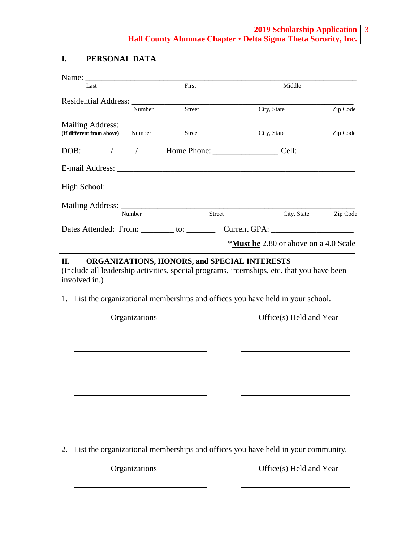#### **I. PERSONAL DATA**

| Name:                                                                                                                                                                                                                         |        |                                              |          |
|-------------------------------------------------------------------------------------------------------------------------------------------------------------------------------------------------------------------------------|--------|----------------------------------------------|----------|
| Last                                                                                                                                                                                                                          | First  | Middle                                       |          |
| Residential Address:                                                                                                                                                                                                          |        |                                              |          |
| Number                                                                                                                                                                                                                        | Street | City, State                                  | Zip Code |
|                                                                                                                                                                                                                               |        |                                              |          |
| (If different from above) Number                                                                                                                                                                                              | Street | City, State                                  | Zip Code |
|                                                                                                                                                                                                                               |        |                                              |          |
| E-mail Address: No. 1996. The Contract of the Contract of the Contract of the Contract of the Contract of the Contract of the Contract of the Contract of the Contract of the Contract of the Contract of the Contract of the |        |                                              |          |
|                                                                                                                                                                                                                               |        |                                              |          |
|                                                                                                                                                                                                                               |        |                                              |          |
| Number                                                                                                                                                                                                                        | Street | City, State                                  | Zip Code |
| Dates Attended: From: ________ to: ________                                                                                                                                                                                   |        |                                              |          |
|                                                                                                                                                                                                                               |        | <b>*Must be</b> 2.80 or above on a 4.0 Scale |          |

#### **II. ORGANIZATIONS, HONORS, and SPECIAL INTERESTS**

<u> 1989 - Johann Barn, mars eta bainar eta idazlea (</u>

(Include all leadership activities, special programs, internships, etc. that you have been involved in.)

1. List the organizational memberships and offices you have held in your school.

<u> 1989 - Johann Barn, mars eta biztanleria (h. 1989).</u>

<u> 1989 - Johann Barn, fransk politik (f. 1989)</u>

<u> 1989 - Johann Barn, mars ann an t-Amhain Aonaich an t-Aonaich an t-Aonaich ann an t-Aonaich ann an t-Aonaich</u>

Organizations Office(s) Held and Year

2. List the organizational memberships and offices you have held in your community.

Organizations Office(s) Held and Year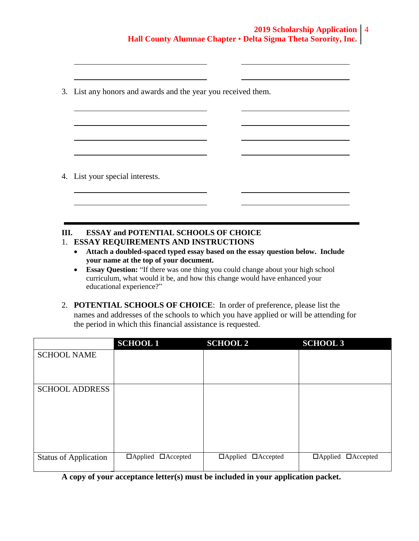3. List any honors and awards and the year you received them.

4. List your special interests.

## **III. ESSAY and POTENTIAL SCHOOLS OF CHOICE**

<u> 1989 - Johann Barnett, fransk politiker (</u>

- 1. **ESSAY REQUIREMENTS AND INSTRUCTIONS**
	- **Attach a doubled-spaced typed essay based on the essay question below. Include your name at the top of your document.**
	- **Essay Question:** "If there was one thing you could change about your high school curriculum, what would it be, and how this change would have enhanced your educational experience?"
- 2. **POTENTIAL SCHOOLS OF CHOICE**: In order of preference, please list the names and addresses of the schools to which you have applied or will be attending for the period in which this financial assistance is requested.

|                              | <b>SCHOOL1</b>                 | <b>SCHOOL 2</b>                   | <b>SCHOOL 3</b>                |
|------------------------------|--------------------------------|-----------------------------------|--------------------------------|
| <b>SCHOOL NAME</b>           |                                |                                   |                                |
|                              |                                |                                   |                                |
|                              |                                |                                   |                                |
| <b>SCHOOL ADDRESS</b>        |                                |                                   |                                |
|                              |                                |                                   |                                |
|                              |                                |                                   |                                |
|                              |                                |                                   |                                |
|                              |                                |                                   |                                |
|                              |                                |                                   |                                |
| <b>Status of Application</b> | $\Box$ Applied $\Box$ Accepted | $\Box$ Applied<br>$\Box$ Accepted | $\Box$ Applied $\Box$ Accepted |
|                              |                                |                                   |                                |

**A copy of your acceptance letter(s) must be included in your application packet.**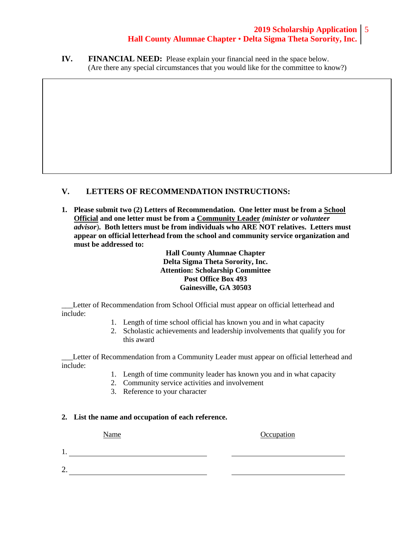### **2019 Scholarship Application** 5 **Hall County Alumnae Chapter • Delta Sigma Theta Sorority, Inc.**

**IV. FINANCIAL NEED:** Please explain your financial need in the space below. (Are there any special circumstances that you would like for the committee to know?)

### **V. LETTERS OF RECOMMENDATION INSTRUCTIONS:**

**1. Please submit two (2) Letters of Recommendation. One letter must be from a School Official and one letter must be from a Community Leader** *(minister or volunteer advisor*)**. Both letters must be from individuals who ARE NOT relatives. Letters must appear on official letterhead from the school and community service organization and must be addressed to:**

> **Hall County Alumnae Chapter Delta Sigma Theta Sorority, Inc. Attention: Scholarship Committee Post Office Box 493 Gainesville, GA 30503**

Letter of Recommendation from School Official must appear on official letterhead and include:

- 1. Length of time school official has known you and in what capacity
- 2. Scholastic achievements and leadership involvements that qualify you for this award

Letter of Recommendation from a Community Leader must appear on official letterhead and include:

- 1. Length of time community leader has known you and in what capacity
- 2. Community service activities and involvement
- 3. Reference to your character

#### **2. List the name and occupation of each reference.**

Name Occupation

1.

2.